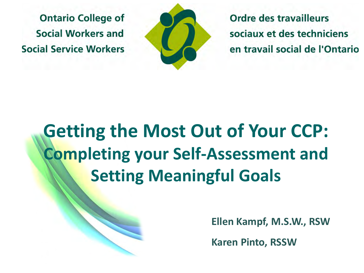**Ontario College of** Social Workers and **Social Service Workers** 



Ordre des travailleurs sociaux et des techniciens en travail social de l'Ontario

### **Getting the Most Out of Your CCP: Completing your Self-Assessment and Setting Meaningful Goals**

**Ellen Kampf, M.S.W., RSW**

**Karen Pinto, RSSW**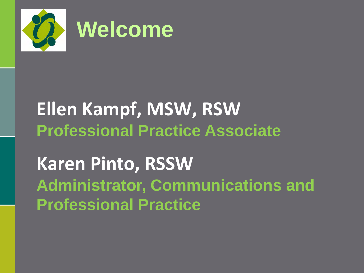

# **Ellen Kampf, MSW, RSW Professional Practice Associate**

**Karen Pinto, RSSW Administrator, Communications and Professional Practice**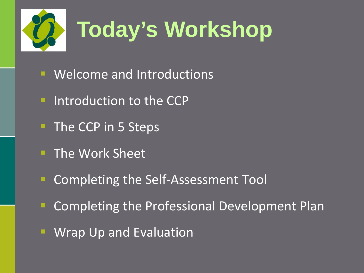

- Welcome and Introductions
- **Introduction to the CCP**
- The CCP in 5 Steps
- **The Work Sheet**
- Completing the Self-Assessment Tool
- **EX Completing the Professional Development Plan**
- Wrap Up and Evaluation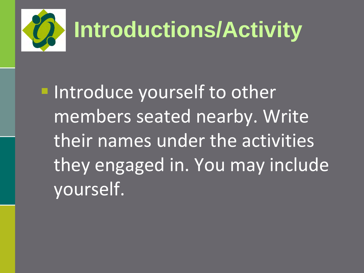

**Introduce yourself to other** members seated nearby. Write their names under the activities they engaged in. You may include yourself.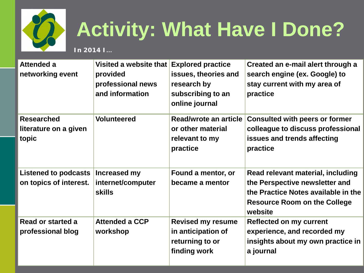

## **Activity: What Have I Done?**

**In 2014 I…**

| <b>Attended a</b><br>networking event                 | Visited a website that<br>provided<br>professional news<br>and information | <b>Explored practice</b><br>issues, theories and<br>research by<br>subscribing to an<br>online journal | Created an e-mail alert through a<br>search engine (ex. Google) to<br>stay current with my area of<br>practice                                               |
|-------------------------------------------------------|----------------------------------------------------------------------------|--------------------------------------------------------------------------------------------------------|--------------------------------------------------------------------------------------------------------------------------------------------------------------|
| <b>Researched</b><br>literature on a given<br>topic   | <b>Volunteered</b>                                                         | Read/wrote an article<br>or other material<br>relevant to my<br>practice                               | <b>Consulted with peers or former</b><br>colleague to discuss professional<br>issues and trends affecting<br>practice                                        |
| <b>Listened to podcasts</b><br>on topics of interest. | Increased my<br>internet/computer<br><b>skills</b>                         | Found a mentor, or<br>became a mentor                                                                  | Read relevant material, including<br>the Perspective newsletter and<br>the Practice Notes available in the<br><b>Resource Room on the College</b><br>website |
| Read or started a<br>professional blog                | <b>Attended a CCP</b><br>workshop                                          | <b>Revised my resume</b><br>in anticipation of<br>returning to or<br>finding work                      | <b>Reflected on my current</b><br>experience, and recorded my<br>insights about my own practice in<br>a journal                                              |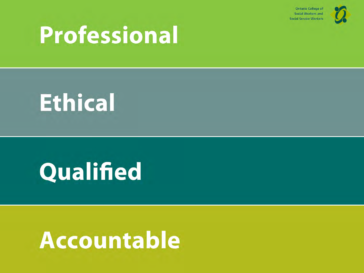**Ontario College of Social Workers and Social Service Workers** 



## **Professional**

## **Ethical**

## Qualified

## **Accountable**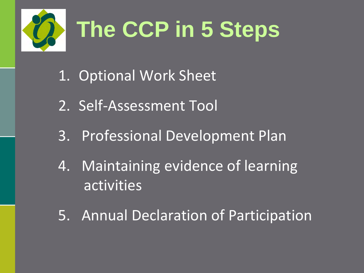

- 1. Optional Work Sheet
- 2. Self-Assessment Tool
- 3. Professional Development Plan
- 4. Maintaining evidence of learning activities
- 5. Annual Declaration of Participation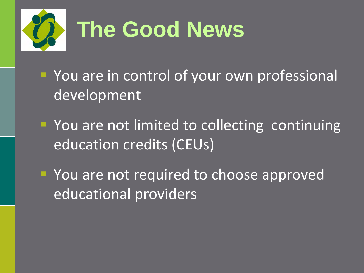

- **P** You are in control of your own professional development
- **You are not limited to collecting continuing** education credits (CEUs)
- **P** You are not required to choose approved educational providers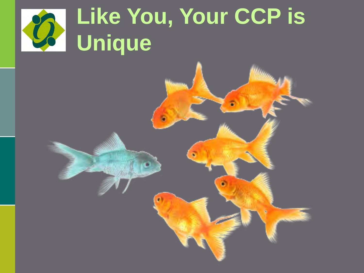#### **Like You, Your CCP is**   $\mathcal{D}$ **Unique**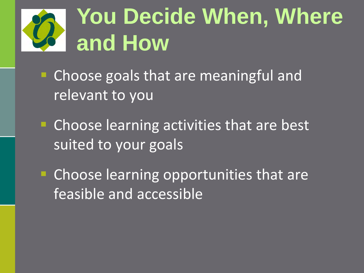## **You Decide When, Where and How**

- **Choose goals that are meaningful and** relevant to you
- **EXPLEM** Choose learning activities that are best suited to your goals
- **EXP** Choose learning opportunities that are feasible and accessible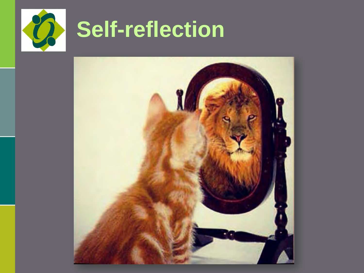

# **Self-reflection**

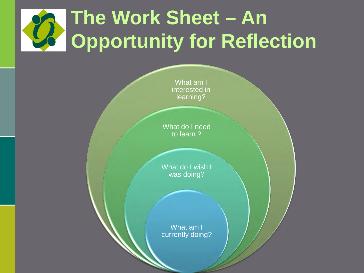## **The Work Sheet – An Opportunity for Reflection**

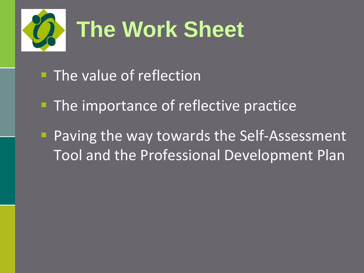

- **The value of reflection**
- **The importance of reflective practice**
- **Paving the way towards the Self-Assessment** Tool and the Professional Development Plan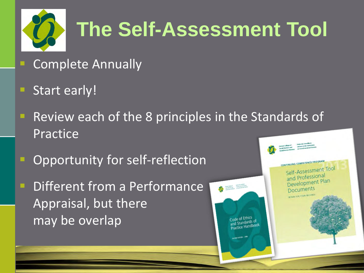

## **The Self-Assessment Tool**

- Complete Annually
- Start early!
- **Review each of the 8 principles in the Standards of** Practice
- Opportunity for self-reflection
- Different from a Performance Appraisal, but there may be overlap

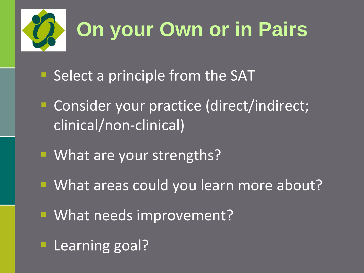

- **Select a principle from the SAT**
- Consider your practice (direct/indirect; clinical/non-clinical)
- **Nhat are your strengths?**
- **What areas could you learn more about?**
- **What needs improvement?**
- **Learning goal?**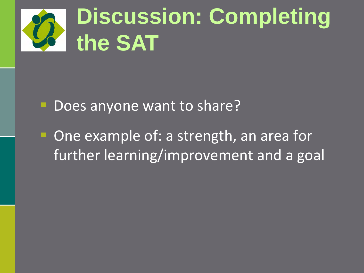

- Does anyone want to share?
- One example of: a strength, an area for further learning/improvement and a goal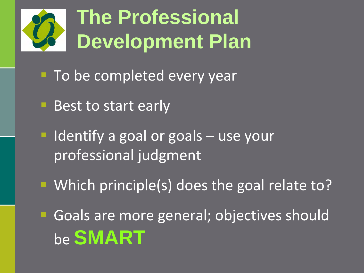## **The Professional Development Plan**

- **To be completed every year**
- Best to start early
- $\blacksquare$  Identify a goal or goals  $-$  use your professional judgment
- **Which principle(s) does the goal relate to?**

Goals are more general; objectives should be **SMART**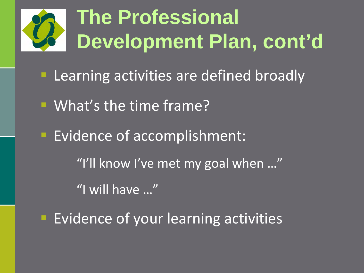## **The Professional Development Plan, cont'd**

- Learning activities are defined broadly
- What's the time frame?
- **Evidence of accomplishment:** "I'll know I've met my goal when …" "I will have …"
- **Evidence of your learning activities**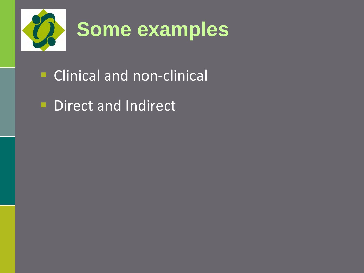

- **Clinical and non-clinical**
- Direct and Indirect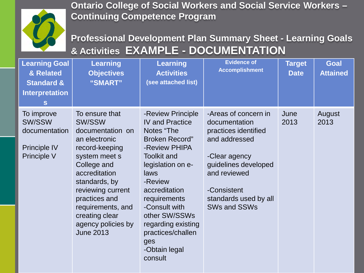

**Ontario College of Social Workers and Social Service Workers – Continuing Competence Program**

**Professional Development Plan Summary Sheet - Learning Goals & Activities EXAMPLE - DOCUMENTATION** 

| <b>Learning Goal</b><br>& Related<br><b>Standard &amp;</b><br><b>Interpretation</b><br>S | <b>Learning</b><br><b>Objectives</b><br>"SMART"                                                                                                                                                                                                                          | <b>Learning</b><br><b>Activities</b><br>(see attached list)                                                                                                                                                                                                                                                        | <b>Evidence of</b><br><b>Accomplishment</b>                                                                                                                                                            | <b>Target</b><br><b>Date</b> | <b>Goal</b><br><b>Attained</b> |
|------------------------------------------------------------------------------------------|--------------------------------------------------------------------------------------------------------------------------------------------------------------------------------------------------------------------------------------------------------------------------|--------------------------------------------------------------------------------------------------------------------------------------------------------------------------------------------------------------------------------------------------------------------------------------------------------------------|--------------------------------------------------------------------------------------------------------------------------------------------------------------------------------------------------------|------------------------------|--------------------------------|
| To improve<br>SW/SSW<br>documentation<br><b>Principle IV</b><br>Principle V              | To ensure that<br>SW/SSW<br>documentation on<br>an electronic<br>record-keeping<br>system meet s<br>College and<br>accreditation<br>standards, by<br>reviewing current<br>practices and<br>requirements, and<br>creating clear<br>agency policies by<br><b>June 2013</b> | -Review Principle<br><b>IV and Practice</b><br>Notes "The<br><b>Broken Record"</b><br>-Review PHIPA<br><b>Toolkit and</b><br>legislation on e-<br>laws<br>-Review<br>accreditation<br>requirements<br>-Consult with<br>other SW/SSWs<br>regarding existing<br>practices/challen<br>ges<br>-Obtain legal<br>consult | -Areas of concern in<br>documentation<br>practices identified<br>and addressed<br>-Clear agency<br>guidelines developed<br>and reviewed<br>-Consistent<br>standards used by all<br><b>SWs and SSWs</b> | June<br>2013                 | August<br>2013                 |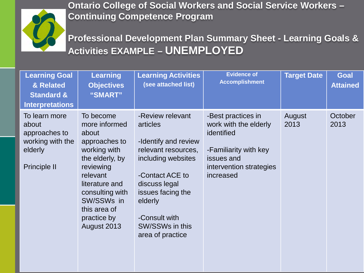

**Ontario College of Social Workers and Social Service Workers – Continuing Competence Program**

**Professional Development Plan Summary Sheet - Learning Goals & Activities EXAMPLE – UNEMPLOYED** 

| <b>Learning Goal</b><br>& Related<br><b>Standard &amp;</b><br><b>Interpretations</b>          | <b>Learning</b><br><b>Objectives</b><br>"SMART"                                                                                                                                                                   | <b>Learning Activities</b><br>(see attached list)                                                                                                                                                                             | <b>Evidence of</b><br><b>Accomplishment</b>                                                                                              | <b>Target Date</b> | <b>Goal</b><br><b>Attained</b> |
|-----------------------------------------------------------------------------------------------|-------------------------------------------------------------------------------------------------------------------------------------------------------------------------------------------------------------------|-------------------------------------------------------------------------------------------------------------------------------------------------------------------------------------------------------------------------------|------------------------------------------------------------------------------------------------------------------------------------------|--------------------|--------------------------------|
| To learn more<br>about<br>approaches to<br>working with the<br>elderly<br><b>Principle II</b> | To become<br>more informed<br>about<br>approaches to<br>working with<br>the elderly, by<br>reviewing<br>relevant<br>literature and<br>consulting with<br>SW/SSWs in<br>this area of<br>practice by<br>August 2013 | -Review relevant<br>articles<br>-Identify and review<br>relevant resources,<br>including websites<br>-Contact ACE to<br>discuss legal<br>issues facing the<br>elderly<br>-Consult with<br>SW/SSWs in this<br>area of practice | -Best practices in<br>work with the elderly<br>identified<br>-Familiarity with key<br>issues and<br>intervention strategies<br>increased | August<br>2013     | October<br>2013                |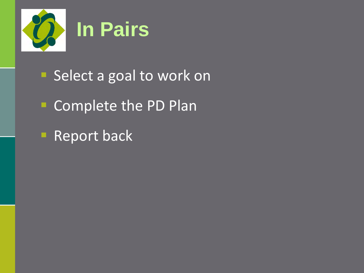

- Select a goal to work on
- **Complete the PD Plan**
- **Report back**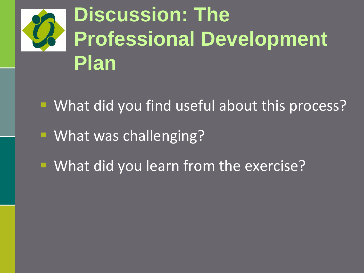

- What did you find useful about this process?
- **What was challenging?**
- **What did you learn from the exercise?**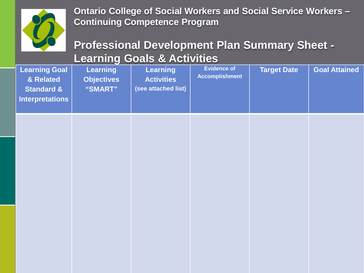

**Ontario College of Social Workers and Social Service Workers – Continuing Competence Program**

#### **Professional Development Plan Summary Sheet - Learning Goals & Activities**

| <b>Learning Goal</b><br>& Related<br><b>Standard &amp;</b><br><b>Interpretations</b> | <b>Learning</b><br><b>Objectives</b><br>"SMART" | <b>Learning</b><br><b>Activities</b><br>(see attached list) | <b>Evidence of</b><br><b>Accomplishment</b> | <b>Target Date</b> | <b>Goal Attained</b> |
|--------------------------------------------------------------------------------------|-------------------------------------------------|-------------------------------------------------------------|---------------------------------------------|--------------------|----------------------|
|                                                                                      |                                                 |                                                             |                                             |                    |                      |
|                                                                                      |                                                 |                                                             |                                             |                    |                      |
|                                                                                      |                                                 |                                                             |                                             |                    |                      |
|                                                                                      |                                                 |                                                             |                                             |                    |                      |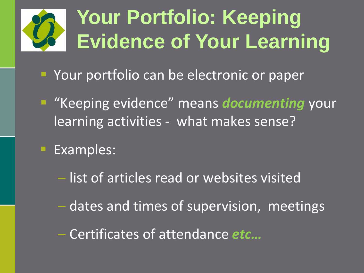## **Your Portfolio: Keeping Evidence of Your Learning**

- **Your portfolio can be electronic or paper**
- "Keeping evidence" means *documenting* your learning activities - what makes sense?
	- Examples:
		- list of articles read or websites visited
		- dates and times of supervision, meetings
		- Certificates of attendance *etc…*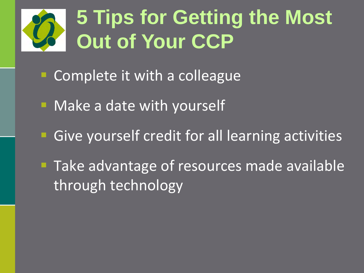## **5 Tips for Getting the Most Out of Your CCP**

- **Complete it with a colleague**
- Make a date with yourself
- **Give yourself credit for all learning activities**
- **Take advantage of resources made available** through technology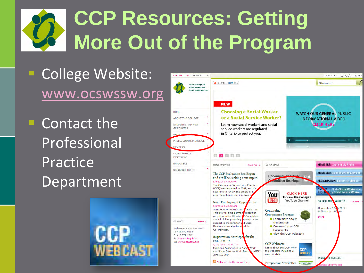## **CCP Resources: Getting More Out of the Program**

### College Website: [www.ocswssw.org](http://www.ocswssw.org/)

**Contact the** Professional Practice Depar[tment](http://www.ocswssw.org/en/ccpslideshow.htm)



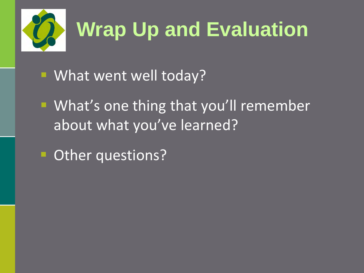

- What went well today?
- **What's one thing that you'll remember** about what you've learned?
- Other questions?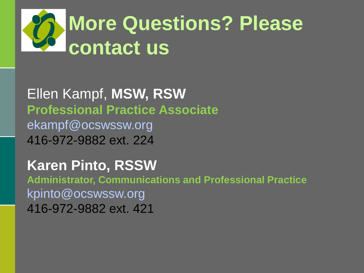

Ellen Kampf, **MSW, RSW Professional Practice Associate** ekampf@ocswssw.org 416-972-9882 ext. 224

**Karen Pinto, RSSW**

**Administrator, Communications and Professional Practice** kpinto@ocswssw.org 416-972-9882 ext. 421